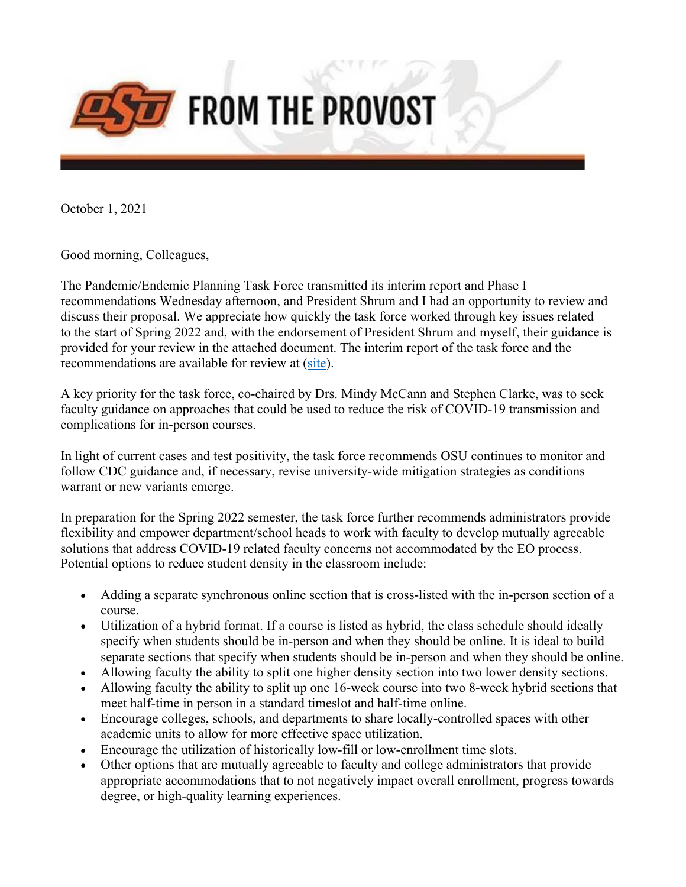

October 1, 2021

Good morning, Colleagues,

The Pandemic/Endemic Planning Task Force transmitted its interim report and Phase I recommendations Wednesday afternoon, and President Shrum and I had an opportunity to review and discuss their proposal. We appreciate how quickly the task force worked through key issues related to the start of Spring 2022 and, with the endorsement of President Shrum and myself, their guidance is provided for your review in the attached document. The interim report of the task force and the recommendations are available for review at (site).

A key priority for the task force, co-chaired by Drs. Mindy McCann and Stephen Clarke, was to seek faculty guidance on approaches that could be used to reduce the risk of COVID-19 transmission and complications for in-person courses.

In light of current cases and test positivity, the task force recommends OSU continues to monitor and follow CDC guidance and, if necessary, revise university-wide mitigation strategies as conditions warrant or new variants emerge.

In preparation for the Spring 2022 semester, the task force further recommends administrators provide flexibility and empower department/school heads to work with faculty to develop mutually agreeable solutions that address COVID-19 related faculty concerns not accommodated by the EO process. Potential options to reduce student density in the classroom include:

- Adding a separate synchronous online section that is cross-listed with the in-person section of a course.
- Utilization of a hybrid format. If a course is listed as hybrid, the class schedule should ideally specify when students should be in-person and when they should be online. It is ideal to build separate sections that specify when students should be in-person and when they should be online.
- Allowing faculty the ability to split one higher density section into two lower density sections.
- Allowing faculty the ability to split up one 16-week course into two 8-week hybrid sections that meet half-time in person in a standard timeslot and half-time online.
- Encourage colleges, schools, and departments to share locally-controlled spaces with other academic units to allow for more effective space utilization.
- Encourage the utilization of historically low-fill or low-enrollment time slots.
- Other options that are mutually agreeable to faculty and college administrators that provide appropriate accommodations that to not negatively impact overall enrollment, progress towards degree, or high-quality learning experiences.